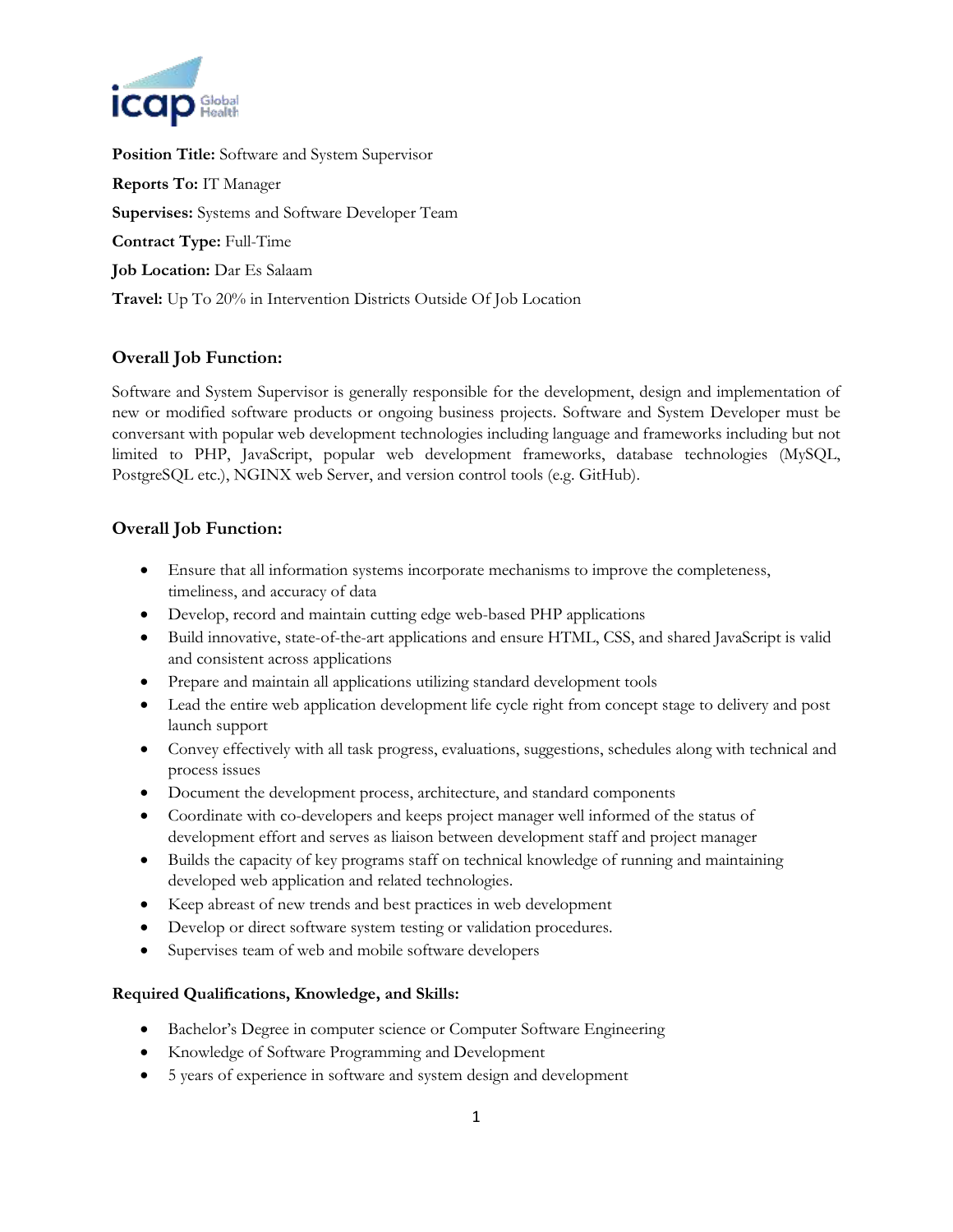

**Position Title:** Software and System Supervisor **Reports To:** IT Manager **Supervises:** Systems and Software Developer Team **Contract Type:** Full-Time **Job Location:** Dar Es Salaam **Travel:** Up To 20% in Intervention Districts Outside Of Job Location

## **Overall Job Function:**

Software and System Supervisor is generally responsible for the development, design and implementation of new or modified software products or ongoing business projects. Software and System Developer must be conversant with popular web development technologies including language and frameworks including but not limited to PHP, JavaScript, popular web development frameworks, database technologies (MySQL, PostgreSQL etc.), NGINX web Server, and version control tools (e.g. GitHub).

## **Overall Job Function:**

- Ensure that all information systems incorporate mechanisms to improve the completeness, timeliness, and accuracy of data
- Develop, record and maintain cutting edge web-based PHP applications
- Build innovative, state-of-the-art applications and ensure HTML, CSS, and shared JavaScript is valid and consistent across applications
- Prepare and maintain all applications utilizing standard development tools
- Lead the entire web application development life cycle right from concept stage to delivery and post launch support
- Convey effectively with all task progress, evaluations, suggestions, schedules along with technical and process issues
- Document the development process, architecture, and standard components
- Coordinate with co-developers and keeps project manager well informed of the status of development effort and serves as liaison between development staff and project manager
- Builds the capacity of key programs staff on technical knowledge of running and maintaining developed web application and related technologies.
- Keep abreast of new trends and best practices in web development
- Develop or direct software system testing or validation procedures.
- Supervises team of web and mobile software developers

## **Required Qualifications, Knowledge, and Skills:**

- Bachelor's Degree in computer science or Computer Software Engineering
- Knowledge of Software Programming and Development
- 5 years of experience in software and system design and development